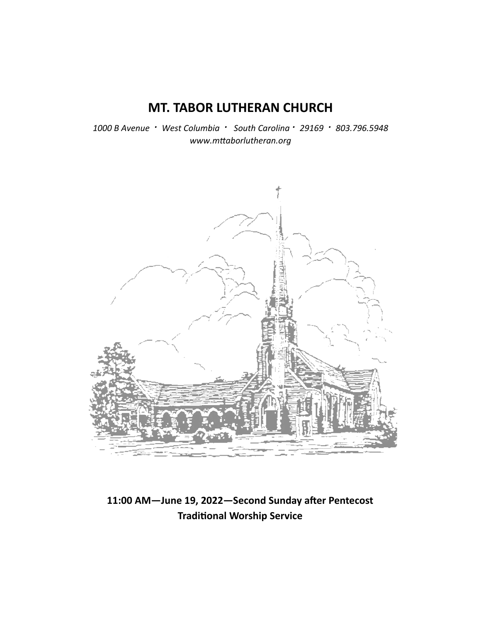# **MT. TABOR LUTHERAN CHURCH**

*1000 B Avenue · West Columbia · South Carolina · 29169 · 803.796.5948 www.mƩaborlutheran.org* 



11:00 AM-June 19, 2022-Second Sunday after Pentecost **TradiƟonal Worship Service**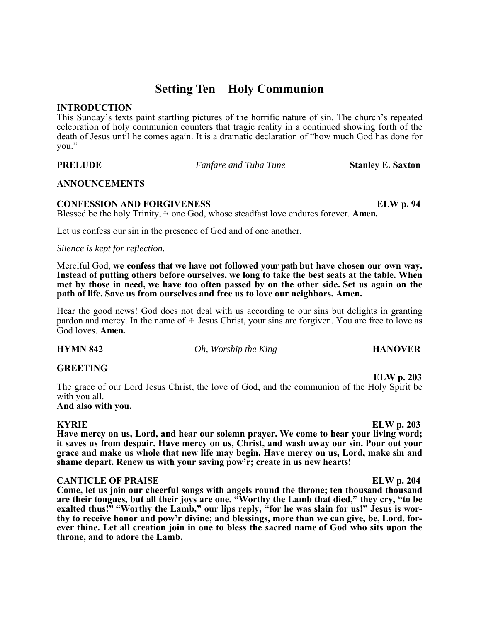# **Setting Ten—Holy Communion**

### **INTRODUCTION**

This Sunday's texts paint startling pictures of the horrific nature of sin. The church's repeated celebration of holy communion counters that tragic reality in a continued showing forth of the death of Jesus until he comes again. It is a dramatic declaration of "how much God has done for you."

**PRELUDE** *Fanfare and Tuba Tune* **Stanley E. Saxton** 

### **ANNOUNCEMENTS**

## **CONFESSION AND FORGIVENESS ELW p. 94**

Blessed be the holy Trinity,  $\pm$  one God, whose steadfast love endures forever. **Amen.** 

Let us confess our sin in the presence of God and of one another.

*Silence is kept for reflection.* 

Merciful God, **we confess that we have not followed your path but have chosen our own way. Instead of putting others before ourselves, we long to take the best seats at the table. When met by those in need, we have too often passed by on the other side. Set us again on the path of life. Save us from ourselves and free us to love our neighbors. Amen.** 

Hear the good news! God does not deal with us according to our sins but delights in granting pardon and mercy. In the name of  $\pm$  Jesus Christ, your sins are forgiven. You are free to love as God loves. **Amen.**

**HYMN 842** *Oh, Worship the King* **HANOVER** 

### **GREETING**

**ELW p. 203**  The grace of our Lord Jesus Christ, the love of God, and the communion of the Holy Spirit be with you all.

# **And also with you.**

**Have mercy on us, Lord, and hear our solemn prayer. We come to hear your living word; it saves us from despair. Have mercy on us, Christ, and wash away our sin. Pour out your grace and make us whole that new life may begin. Have mercy on us, Lord, make sin and shame depart. Renew us with your saving pow'r; create in us new hearts!**

### **CANTICLE OF PRAISE** ELW p. 204

**Come, let us join our cheerful songs with angels round the throne; ten thousand thousand are their tongues, but all their joys are one. "Worthy the Lamb that died," they cry, "to be exalted thus!" "Worthy the Lamb," our lips reply, "for he was slain for us!" Jesus is worthy to receive honor and pow'r divine; and blessings, more than we can give, be, Lord, forever thine. Let all creation join in one to bless the sacred name of God who sits upon the throne, and to adore the Lamb.**

### **KYRIE ELW p. 203**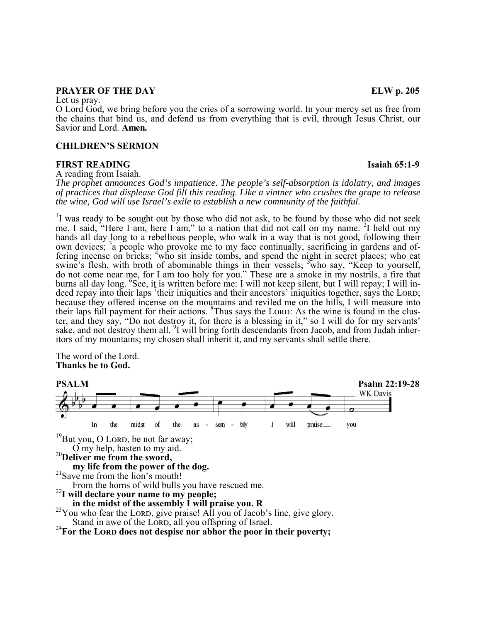### **PRAYER OF THE DAY** ELW p. 205

Let us pray.

O Lord God, we bring before you the cries of a sorrowing world. In your mercy set us free from the chains that bind us, and defend us from everything that is evil, through Jesus Christ, our Savior and Lord. **Amen.** 

#### **CHILDREN'S SERMON**

#### **FIRST READING Isaiah 65:1-9**

A reading from Isaiah.

*The prophet announces God's impatience. The people's self-absorption is idolatry, and images of practices that displease God fill this reading. Like a vintner who crushes the grape to release the wine, God will use Israel's exile to establish a new community of the faithful.* 

<sup>1</sup>I was ready to be sought out by those who did not ask, to be found by those who did not seek me. I said, "Here I am, here I am," to a nation that did not call on my name. <sup>2</sup>I held out my hands all day long to a rebellious people, who walk in a way that is not good, following their own devices;  $3a$  people who provoke me to my face continually, sacrificing in gardens and offering incense on bricks;  $\frac{4}{1}$  who sit inside tombs, and spend the night in secret places; who eat swine's flesh, with broth of abominable things in their vessels;  $\frac{5}{3}$  who say, "Keep to yourself, do not come near me, for I am too holy for you." These are a smoke in my nostrils, a fire that burns all day long. <sup>6</sup>See, it is written before me: I will not keep silent, but I will repay; I will indeed repay into their laps <sup>7</sup> their iniquities and their ancestors' iniquities together, says the LORD; because they offered incense on the mountains and reviled me on the hills, I will measure into their laps full payment for their actions. <sup>8</sup>Thus says the LORD: As the wine is found in the cluster, and they say, "Do not destroy it, for there is a blessing in it," so I will do for my servants' sake, and not destroy them all. <sup>9</sup>I will bring forth descendants from Jacob, and from Judah inher-<br>itors of my mountains; my chosen shall inherit it, and my servants shall settle there.

The word of the Lord. **Thanks be to God.**



<sup>20</sup>**Deliver me from the sword,**

**my life from the power of the dog.**<br><sup>21</sup>Save me from the lion's mouth!<br>From the horns of wild bulls you have rescued me.

<sup>22</sup>I will declare your name to my people;<br>in the midst of the assembly I will praise you. R

<sup>23</sup>You who fear the LORD, give praise! All you of Jacob's line, give glory.<br>Stand in awe of the LORD, all you offspring of Israel.

# <sup>24</sup> For the LORD does not despise nor abhor the poor in their poverty;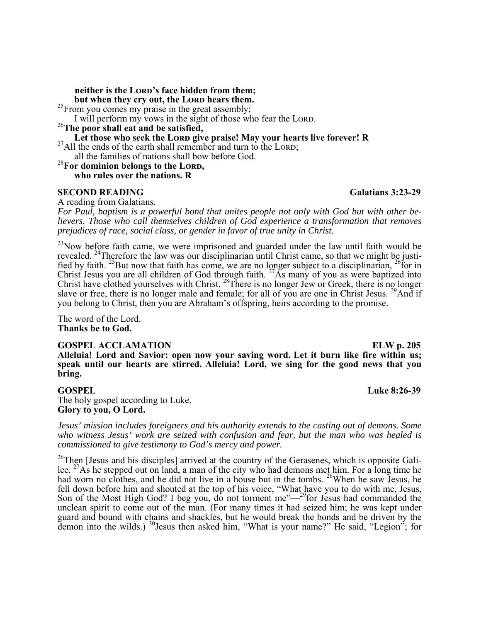neither is the LORD's face hidden from them;

**but when they cry out, the LORD hears them.** <sup>25</sup>From you comes my praise in the great assembly;

I will perform my vows in the sight of those who fear the LORD.

<sup>26</sup>**The poor shall eat and be satisfied,**

Let those who seek the LORD give praise! May your hearts live forever! R

 $^{27}$ All the ends of the earth shall remember and turn to the LORD; all the families of nations shall bow before God.

<sup>28</sup>For dominion belongs to the LORD, **who rules over the nations. R**

### **SECOND READING** Galatians 3:23-29

A reading from Galatians.

*For Paul, baptism is a powerful bond that unites people not only with God but with other believers. Those who call themselves children of God experience a transformation that removes prejudices of race, social class, or gender in favor of true unity in Christ.* 

 $^{23}$ Now before faith came, we were imprisoned and guarded under the law until faith would be revealed. <sup>24</sup>Therefore the law was our disciplinarian until Christ came, so that we might be justified by faith. <sup>25</sup>But now that faith has come, we are no longer subject to a disciplinarian, <sup>26</sup>for in Christ Jesus you are all children of God through faith.  $27\overline{As}$  many of you as were baptized into Christ have clothed yourselves with Christ. <sup>28</sup>There is no longer Jew or Greek, there is no longer slave or free, there is no longer male and female; for all of you are one in Christ Jesus. <sup>29</sup>And if you belong to Christ, then you are Abraham's offspring, heirs according to the promise.

The word of the Lord. **Thanks be to God.**

#### **GOSPEL ACCLAMATION ELW p. 205**

**Alleluia! Lord and Savior: open now your saving word. Let it burn like fire within us; speak until our hearts are stirred. Alleluia! Lord, we sing for the good news that you bring.**

The holy gospel according to Luke. **Glory to you, O Lord.** 

*Jesus' mission includes foreigners and his authority extends to the casting out of demons. Some who witness Jesus' work are seized with confusion and fear, but the man who was healed is commissioned to give testimony to God's mercy and power.* 

<sup>26</sup>Then [Jesus and his disciples] arrived at the country of the Gerasenes, which is opposite Galilee.  $^{27}$ As he stepped out on land, a man of the city who had demons met him. For a long time he had worn no clothes, and he did not live in a house but in the tombs. <sup>28</sup>When he saw Jesus, he fell down before him and shouted at the top of his voice, "What have you to do with me, Jesus, Son of the Most High God? I beg you, do not torment me"— $^{29}$ for Jesus had commanded the unclean spirit to come out of the man. (For many times it had seized him; he was kept under guard and bound with chains and shackles, but he would break the bonds and be driven by the demon into the wilds.) <sup>30</sup>Jesus then asked him, "What is your name?" He said, "Legion"; for

**GOSPEL Luke 8:26-39**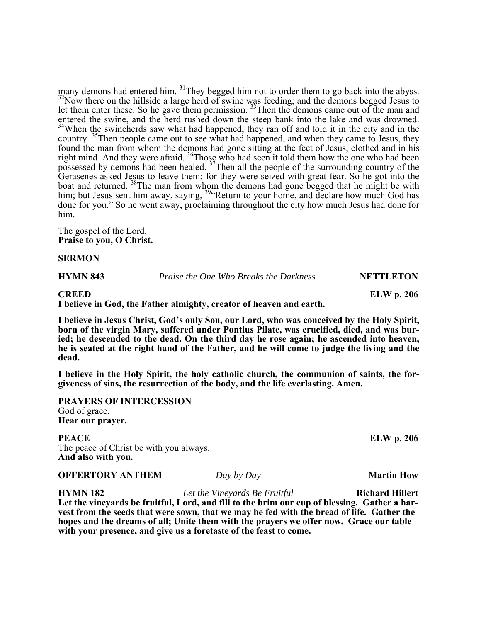many demons had entered him.  $31$ They begged him not to order them to go back into the abyss.  $32$ Now there on the hillside a large herd of swine was feeding; and the demons begged Jesus to let them enter these. So he gave them permission. <sup>33</sup>Then the demons came out of the man and entered the swine, and the herd rushed down the steep bank into the lake and was drowned.  $34$ When the swineherds saw what had happened, they ran off and told it in the city and in the country. <sup>35</sup>Then people came out to see what had happened, and when they came to Jesus, they found the man from whom the demons had gone sitting at the feet of Jesus, clothed and in his right mind. And they were afraid. <sup>36</sup>Those who had seen it told them how the one who had been possessed by demons had been healed. 37Then all the people of the surrounding country of the Gerasenes asked Jesus to leave them; for they were seized with great fear. So he got into the boat and returned. <sup>38</sup>The man from whom the demons had gone begged that he might be with him; but Jesus sent him away, saying, <sup>39</sup> Return to your home, and declare how much God has done for you." So he went away, proclaiming throughout the city how much Jesus had done for him.

The gospel of the Lord. **Praise to you, O Christ.**

**SERMON** 

**HYMN 843** *Praise the One Who Breaks the Darkness* **NETTLETON** 

#### **CREED ELW p. 206**

**I believe in God, the Father almighty, creator of heaven and earth.** 

**I believe in Jesus Christ, God's only Son, our Lord, who was conceived by the Holy Spirit, born of the virgin Mary, suffered under Pontius Pilate, was crucified, died, and was buried; he descended to the dead. On the third day he rose again; he ascended into heaven, he is seated at the right hand of the Father, and he will come to judge the living and the dead.** 

**I believe in the Holy Spirit, the holy catholic church, the communion of saints, the forgiveness of sins, the resurrection of the body, and the life everlasting. Amen.**

**PRAYERS OF INTERCESSION**  God of grace, **Hear our prayer.**

**PEACE** ELW p. 206 The peace of Christ be with you always. **And also with you.**

**OFFERTORY ANTHEM** *Day by Day Day by Day* 

**HYMN 182** *Let the Vineyards Be Fruitful* **Richard Hillert Let the vineyards be fruitful, Lord, and fill to the brim our cup of blessing. Gather a harvest from the seeds that were sown, that we may be fed with the bread of life. Gather the hopes and the dreams of all; Unite them with the prayers we offer now. Grace our table with your presence, and give us a foretaste of the feast to come.**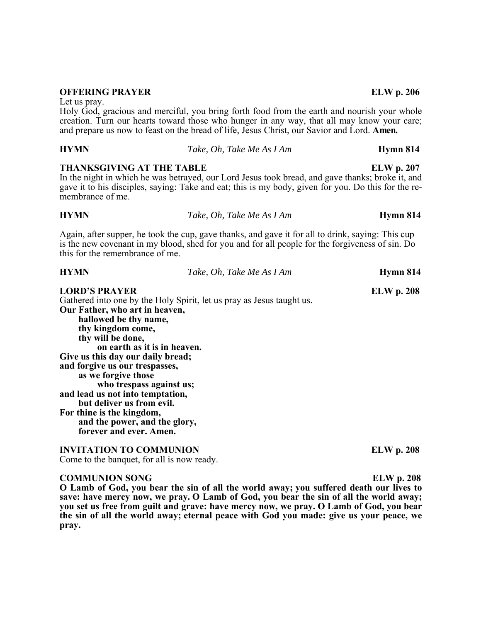### **OFFERING PRAYER ELW p. 206**

Let us pray.

Holy God, gracious and merciful, you bring forth food from the earth and nourish your whole creation. Turn our hearts toward those who hunger in any way, that all may know your care; and prepare us now to feast on the bread of life, Jesus Christ, our Savior and Lord. **Amen.**

| <b>HYMN</b>                                          | Take, Oh, Take Me As I Am                                                                                                                                                                               | Hymn 814          |
|------------------------------------------------------|---------------------------------------------------------------------------------------------------------------------------------------------------------------------------------------------------------|-------------------|
| <b>THANKSGIVING AT THE TABLE</b><br>membrance of me. | In the night in which he was betrayed, our Lord Jesus took bread, and gave thanks; broke it, and<br>gave it to his disciples, saying: Take and eat; this is my body, given for you. Do this for the re- | <b>ELW</b> p. 207 |

| 11 I IV IV                     | Tune, OII, Tune in ASTAIN                                                                                                                                                                            | - приши от п |
|--------------------------------|------------------------------------------------------------------------------------------------------------------------------------------------------------------------------------------------------|--------------|
|                                | Again, after supper, he took the cup, gave thanks, and gave it for all to drink, saying: This cup<br>is the new covenant in my blood, shed for you and for all people for the forgiveness of sin. Do |              |
| this for the remembrance of me |                                                                                                                                                                                                      |              |

**HYMN** *Take, Oh, Take Me As I Am* **Hymn 814**

| <b>HYMN</b>                       | Take, Oh, Take Me As I Am                                             | Hymn 814          |
|-----------------------------------|-----------------------------------------------------------------------|-------------------|
| <b>LORD'S PRAYER</b>              |                                                                       | <b>ELW</b> p. 208 |
|                                   | Gathered into one by the Holy Spirit, let us pray as Jesus taught us. |                   |
| Our Father, who art in heaven,    |                                                                       |                   |
| hallowed be thy name,             |                                                                       |                   |
| thy kingdom come,                 |                                                                       |                   |
| thy will be done,                 |                                                                       |                   |
| on earth as it is in heaven.      |                                                                       |                   |
| Give us this day our daily bread; |                                                                       |                   |
| and forgive us our trespasses,    |                                                                       |                   |
| as we forgive those               |                                                                       |                   |
| who trespass against us;          |                                                                       |                   |
| and lead us not into temptation,  |                                                                       |                   |
| but deliver us from evil.         |                                                                       |                   |
| For thine is the kingdom,         |                                                                       |                   |
| and the power, and the glory,     |                                                                       |                   |
| forever and ever. Amen.           |                                                                       |                   |
|                                   |                                                                       |                   |
| <b>INVITATION TO COMMUNION</b>    |                                                                       | ELW p. 208        |

Come to the banquet, for all is now ready.

#### **COMMUNION SONG ELW p. 208**

**O Lamb of God, you bear the sin of all the world away; you suffered death our lives to save: have mercy now, we pray. O Lamb of God, you bear the sin of all the world away; you set us free from guilt and grave: have mercy now, we pray. O Lamb of God, you bear the sin of all the world away; eternal peace with God you made: give us your peace, we pray.**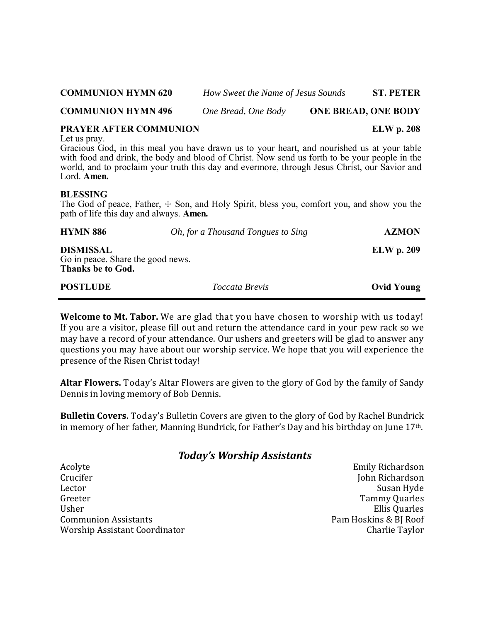| <b>COMMUNION HYMN 620</b><br>How Sweet the Name of Jesus Sounds |                     |                            | <b>ST. PETER</b> |
|-----------------------------------------------------------------|---------------------|----------------------------|------------------|
| <b>COMMUNION HYMN 496</b>                                       | One Bread, One Body | <b>ONE BREAD, ONE BODY</b> |                  |

## **PRAYER AFTER COMMUNION** ELW p. 208

Let us pray.

Gracious God, in this meal you have drawn us to your heart, and nourished us at your table with food and drink, the body and blood of Christ. Now send us forth to be your people in the world, and to proclaim your truth this day and evermore, through Jesus Christ, our Savior and Lord. **Amen.** 

### **BLESSING**

The God of peace, Father,  $\pm$  Son, and Holy Spirit, bless you, comfort you, and show you the path of life this day and always. **Amen.**

| <b>HYMN 886</b>                                                            | <i>Oh, for a Thousand Tongues to Sing</i> | <b>AZMON</b>      |
|----------------------------------------------------------------------------|-------------------------------------------|-------------------|
| <b>DISMISSAL</b><br>Go in peace. Share the good news.<br>Thanks be to God. |                                           | <b>ELW</b> p. 209 |
| <b>POSTLUDE</b>                                                            | <i>Toccata Brevis</i>                     | <b>Ovid Young</b> |

**Welcome to Mt. Tabor.** We are glad that you have chosen to worship with us today! If you are a visitor, please fill out and return the attendance card in your pew rack so we may have a record of your attendance. Our ushers and greeters will be glad to answer any questions you may have about our worship service. We hope that you will experience the presence of the Risen Christ today!

**Altar Flowers.** Today's Altar Flowers are given to the glory of God by the family of Sandy Dennis in loving memory of Bob Dennis.

**Bulletin Covers.** Today's Bulletin Covers are given to the glory of God by Rachel Bundrick in memory of her father, Manning Bundrick, for Father's Day and his birthday on June 17<sup>th</sup>.

# *Today's Worship Assistants*

Crucifer John Richardson Lector Susan Hyde Greeter Tammy Quarles Usher Ellis Quarles Communion Assistants Pam Hoskins & BJ Roof Worship Assistant Coordinator Charlie Taylor Charlie Taylor

Acolyte **Emily Richardson**